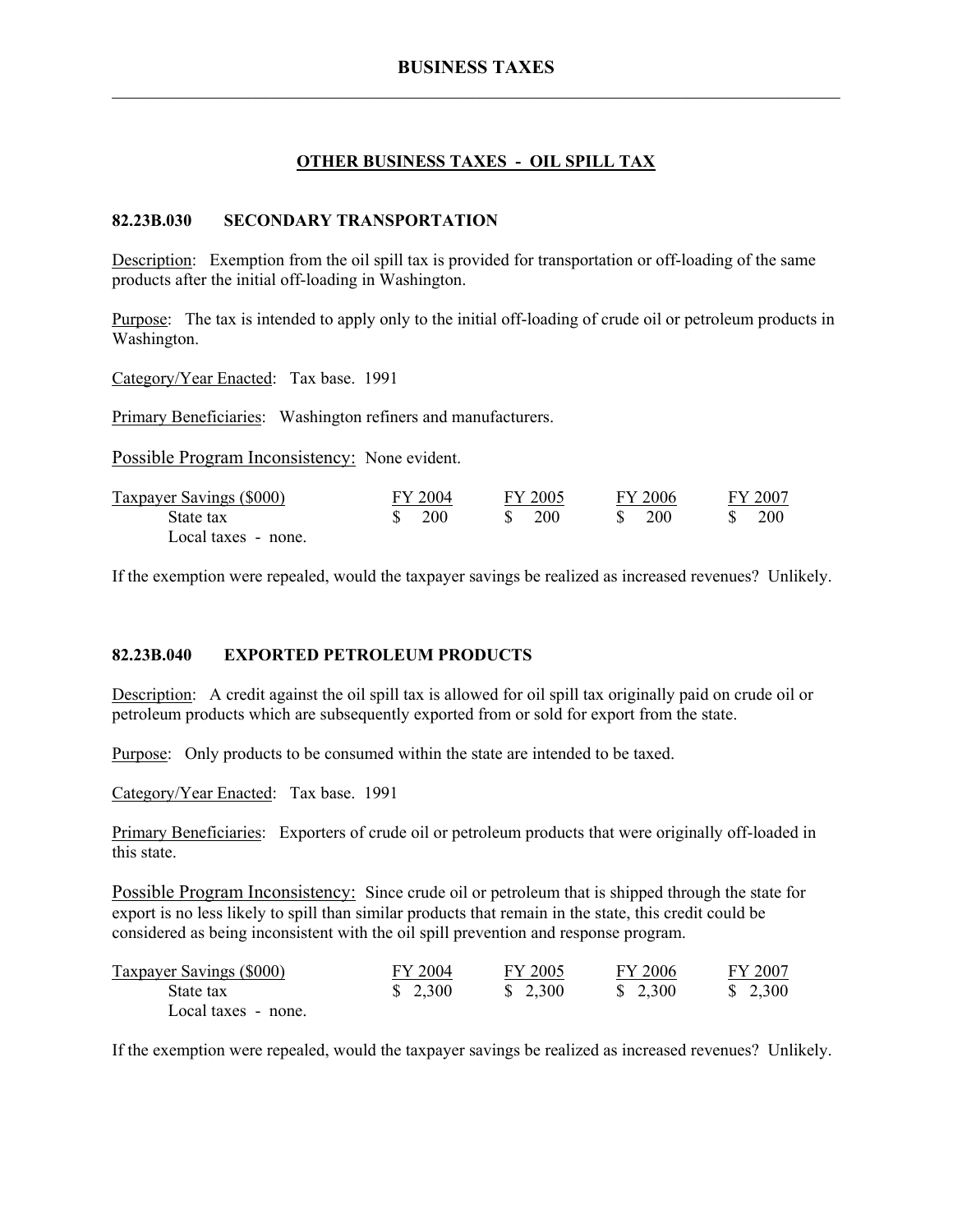## **OTHER BUSINESS TAXES - OIL SPILL TAX**

## **82.23B.030 SECONDARY TRANSPORTATION**

Description: Exemption from the oil spill tax is provided for transportation or off-loading of the same products after the initial off-loading in Washington.

Purpose: The tax is intended to apply only to the initial off-loading of crude oil or petroleum products in Washington.

Category/Year Enacted: Tax base. 1991

Primary Beneficiaries: Washington refiners and manufacturers.

Possible Program Inconsistency: None evident.

| <b>Taxpayer Savings (\$000)</b> | FY 2004                       | FY 2005 | FY 2006          | FY 2007    |
|---------------------------------|-------------------------------|---------|------------------|------------|
| State tax                       | $\frac{\text{S}}{\text{200}}$ | 200     | S.<br><b>200</b> | <b>200</b> |
| Local taxes - none.             |                               |         |                  |            |

If the exemption were repealed, would the taxpayer savings be realized as increased revenues? Unlikely.

## **82.23B.040 EXPORTED PETROLEUM PRODUCTS**

Description: A credit against the oil spill tax is allowed for oil spill tax originally paid on crude oil or petroleum products which are subsequently exported from or sold for export from the state.

Purpose: Only products to be consumed within the state are intended to be taxed.

Category/Year Enacted: Tax base. 1991

Primary Beneficiaries: Exporters of crude oil or petroleum products that were originally off-loaded in this state.

Possible Program Inconsistency: Since crude oil or petroleum that is shipped through the state for export is no less likely to spill than similar products that remain in the state, this credit could be considered as being inconsistent with the oil spill prevention and response program.

| <b>Taxpayer Savings (\$000)</b> | FY 2004 | FY 2005 | FY 2006 | FY 2007 |
|---------------------------------|---------|---------|---------|---------|
| State tax                       | \$2,300 | \$2,300 | \$2,300 | \$2,300 |
| Local taxes - none.             |         |         |         |         |

If the exemption were repealed, would the taxpayer savings be realized as increased revenues? Unlikely.